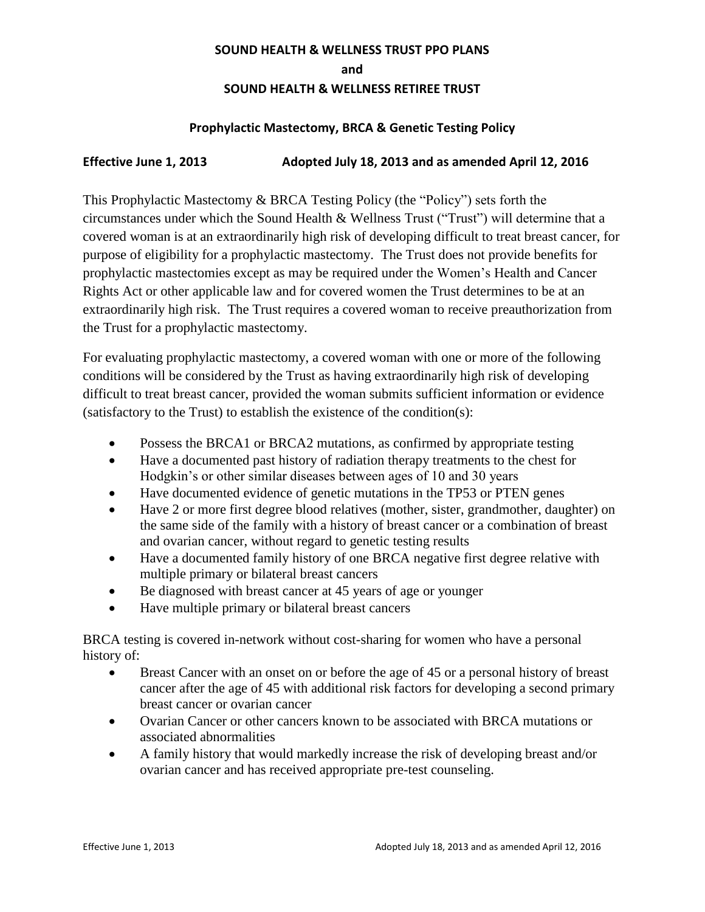## **SOUND HEALTH & WELLNESS TRUST PPO PLANS**

**and** 

## **SOUND HEALTH & WELLNESS RETIREE TRUST**

## **Prophylactic Mastectomy, BRCA & Genetic Testing Policy**

## **Effective June 1, 2013 Adopted July 18, 2013 and as amended April 12, 2016**

This Prophylactic Mastectomy & BRCA Testing Policy (the "Policy") sets forth the circumstances under which the Sound Health & Wellness Trust ("Trust") will determine that a covered woman is at an extraordinarily high risk of developing difficult to treat breast cancer, for purpose of eligibility for a prophylactic mastectomy. The Trust does not provide benefits for prophylactic mastectomies except as may be required under the Women's Health and Cancer Rights Act or other applicable law and for covered women the Trust determines to be at an extraordinarily high risk. The Trust requires a covered woman to receive preauthorization from the Trust for a prophylactic mastectomy.

For evaluating prophylactic mastectomy, a covered woman with one or more of the following conditions will be considered by the Trust as having extraordinarily high risk of developing difficult to treat breast cancer, provided the woman submits sufficient information or evidence (satisfactory to the Trust) to establish the existence of the condition(s):

- Possess the BRCA1 or BRCA2 mutations, as confirmed by appropriate testing
- Have a documented past history of radiation therapy treatments to the chest for Hodgkin's or other similar diseases between ages of 10 and 30 years
- Have documented evidence of genetic mutations in the TP53 or PTEN genes
- Have 2 or more first degree blood relatives (mother, sister, grandmother, daughter) on the same side of the family with a history of breast cancer or a combination of breast and ovarian cancer, without regard to genetic testing results
- Have a documented family history of one BRCA negative first degree relative with multiple primary or bilateral breast cancers
- Be diagnosed with breast cancer at 45 years of age or younger
- Have multiple primary or bilateral breast cancers

BRCA testing is covered in-network without cost-sharing for women who have a personal history of:

- Breast Cancer with an onset on or before the age of 45 or a personal history of breast cancer after the age of 45 with additional risk factors for developing a second primary breast cancer or ovarian cancer
- Ovarian Cancer or other cancers known to be associated with BRCA mutations or associated abnormalities
- A family history that would markedly increase the risk of developing breast and/or ovarian cancer and has received appropriate pre-test counseling.